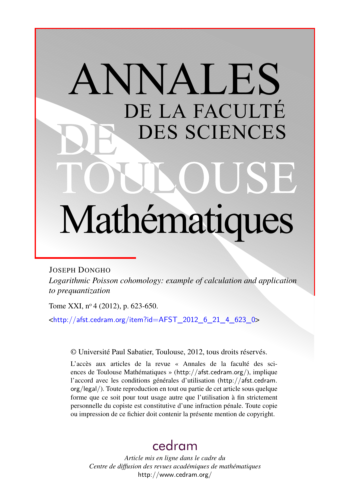# ANNALES DE LA FACULTÉ DES SCIENCES Mathématiques

JOSEPH DONGHO *Logarithmic Poisson cohomology: example of calculation and application to prequantization*

Tome XXI, nº 4 (2012), p. 623-650.

<[http://afst.cedram.org/item?id=AFST\\_2012\\_6\\_21\\_4\\_623\\_0](http://afst.cedram.org/item?id=AFST_2012_6_21_4_623_0)>

© Université Paul Sabatier, Toulouse, 2012, tous droits réservés.

L'accès aux articles de la revue « Annales de la faculté des sciences de Toulouse Mathématiques » (<http://afst.cedram.org/>), implique l'accord avec les conditions générales d'utilisation ([http://afst.cedram.](http://afst.cedram.org/legal/) [org/legal/](http://afst.cedram.org/legal/)). Toute reproduction en tout ou partie de cet article sous quelque forme que ce soit pour tout usage autre que l'utilisation à fin strictement personnelle du copiste est constitutive d'une infraction pénale. Toute copie ou impression de ce fichier doit contenir la présente mention de copyright.

# [cedram](http://www.cedram.org/)

*Article mis en ligne dans le cadre du Centre de diffusion des revues académiques de mathématiques* <http://www.cedram.org/>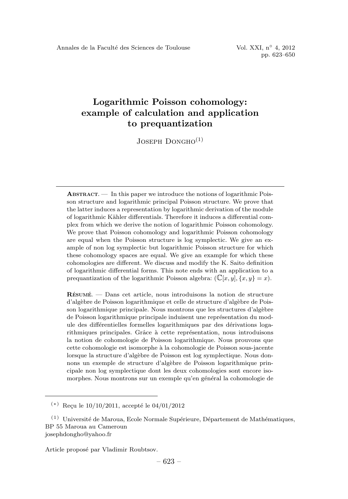# Logarithmic Poisson cohomology: example of calculation and application to prequantization

 $JOSEPH$  DONGHO<sup> $(1)$ </sup>

**ABSTRACT.** — In this paper we introduce the notions of logarithmic Poisson structure and logarithmic principal Poisson structure. We prove that the latter induces a representation by logarithmic derivation of the module of logarithmic K¨ahler differentials. Therefore it induces a differential complex from which we derive the notion of logarithmic Poisson cohomology. We prove that Poisson cohomology and logarithmic Poisson cohomology are equal when the Poisson structure is log symplectic. We give an example of non log symplectic but logarithmic Poisson structure for which these cohomology spaces are equal. We give an example for which these cohomologies are different. We discuss and modify the K. Saito definition of logarithmic differential forms. This note ends with an application to a prequantization of the logarithmic Poisson algebra:  $(\mathbb{C}[x, y], \{x, y\} = x)$ .

 $R$ ÉSUMÉ. — Dans cet article, nous introduisons la notion de structure d'alg`ebre de Poisson logarithmique et celle de structure d'alg`ebre de Poisson logarithmique principale. Nous montrons que les structures d'algèbre de Poisson logarithmique principale induisent une représentation du module des différentielles formelles logarithmiques par des dérivations logarithmiques principales. Grâce à cette représentation, nous introduisons la notion de cohomologie de Poisson logarithmique. Nous prouvons que cette cohomologie est isomorphe `a la cohomologie de Poisson sous-jacente lorsque la structure d'algèbre de Poisson est log symplectique. Nous donnons un exemple de structure d'algèbre de Poisson logarithmique principale non log symplectique dont les deux cohomologies sont encore isomorphes. Nous montrons sur un exemple qu'en général la cohomologie de

Article proposé par Vladimir Roubtsov.

 $(*)$  Recu le 10/10/2011, accepté le 04/01/2012

 $(1)$  Université de Maroua, Ecole Normale Supérieure, Département de Mathématiques, BP 55 Maroua au Cameroun josephdongho@yahoo.fr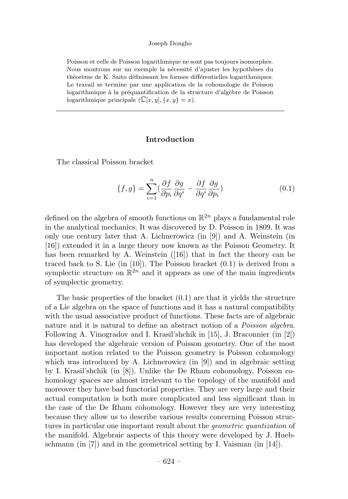Poisson et celle de Poisson logarithmique ne sont pas toujours isomorphes. Nous montrons sur un exemple la nécessité d'ajuster les hypothèses du théorème de K. Saito définissant les formes différentielles logarithmiques. Le travail se termine par une application de la cohomologie de Poisson logarithmique à la préquantification de la structure d'algèbre de Poisson logarithmique principale  $(\mathbb{C}[x, y], \{x, y\} = x)$ .

# Introduction

The classical Poisson bracket

$$
\{f,g\} = \sum_{i=1}^{n} \left(\frac{\partial f}{\partial p_i} \frac{\partial g}{\partial q^i} - \frac{\partial f}{\partial q^i} \frac{\partial g}{\partial p_i}\right) \tag{0.1}
$$

defined on the algebra of smooth functions on  $\mathbb{R}^{2n}$  plays a fundamental role in the analytical mechanics. It was discovered by D. Poisson in 1809. It was only one century later that A. Lichnerowicz (in [9]) and A. Weinstein (in [16]) extended it in a large theory now known as the Poisson Geometry. It has been remarked by A. Weinstein ([16]) that in fact the theory can be traced back to S. Lie (in [10]). The Poisson bracket (0.1) is derived from a symplectic structure on  $\mathbb{R}^{2n}$  and it appears as one of the main ingredients of symplectic geometry.

The basic properties of the bracket  $(0.1)$  are that it yields the structure of a Lie algebra on the space of functions and it has a natural compatibility with the usual associative product of functions. These facts are of algebraic nature and it is natural to define an abstract notion of a *Poisson algebra*. Following A. Vinogradov and I. Krasil'shchik in [15], J. Braconnier (in [2]) has developed the algebraic version of Poisson geometry. One of the most important notion related to the Poisson geometry is Poisson cohomology which was introduced by A. Lichnerowicz (in [9]) and in algebraic setting by I. Krasil'shchik (in [8]). Unlike the De Rham cohomology, Poisson cohomology spaces are almost irrelevant to the topology of the manifold and moreover they have bad functorial properties. They are very large and their actual computation is both more complicated and less significant than in the case of the De Rham cohomology. However they are very interesting because they allow us to describe various results concerning Poisson structures in particular one important result about the geometric quantization of the manifold. Algebraic aspects of this theory were developed by J. Huebschmann (in [7]) and in the geometrical setting by I. Vaisman (in [14]).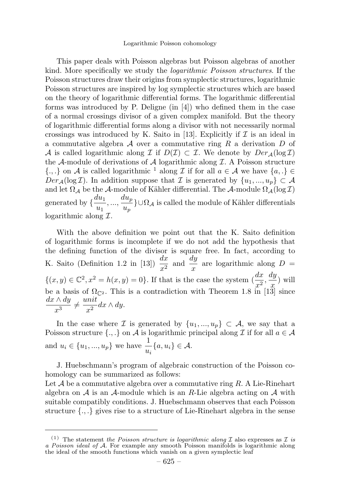This paper deals with Poisson algebras but Poisson algebras of another kind. More specifically we study the logarithmic Poisson structures. If the Poisson structures draw their origins from symplectic structures, logarithmic Poisson structures are inspired by log symplectic structures which are based on the theory of logarithmic differential forms. The logarithmic differential forms was introduced by P. Deligne (in [4]) who defined them in the case of a normal crossings divisor of a given complex manifold. But the theory of logarithmic differential forms along a divisor with not necessarily normal crossings was introduced by K. Saito in [13]. Explicitly if  $\mathcal I$  is an ideal in a commutative algebra  $\mathcal A$  over a commutative ring  $R$  a derivation  $D$  of A is called logarithmic along I if  $D(\mathcal{I}) \subset \mathcal{I}$ . We denote by  $Der_{\mathcal{A}}(\log \mathcal{I})$ the A-module of derivations of A logarithmic along  $\mathcal{I}$ . A Poisson structure  $\{.,.\}$  on A is called logarithmic <sup>1</sup> along *I* if for all  $a \in A$  we have  $\{a,.\}\in$  $Der_{\mathcal{A}}(\log \mathcal{I})$ . In addition suppose that  $\mathcal{I}$  is generated by  $\{u_1, ..., u_p\} \subset \mathcal{A}$ and let  $\Omega_A$  be the A-module of Kähler differential. The A-module  $\Omega_A(\log \mathcal{I})$ generated by  $\{\frac{du_1}{u_1}\}$  $\frac{du_1}{u_1},...,\frac{du_p}{u_p}\}\cup \Omega_{\mathcal{A}}$  is called the module of Kähler differentials logarithmic along  $\mathcal{I}.$ 

With the above definition we point out that the K. Saito definition of logarithmic forms is incomplete if we do not add the hypothesis that the defining function of the divisor is square free. In fact, according to K. Saito (Definition 1.2 in [13])  $\frac{dx}{x^2}$  and  $\frac{dy}{x}$  are logarithmic along  $D =$  $\{(x, y) \in \mathbb{C}^2, x^2 = h(x, y) = 0\}.$  If that is the case the system  $(\frac{dx}{x^2}, \frac{dy}{x})$  will be a basis of  $\Omega_{\mathbb{C}^2}$ . This is a contradiction with Theorem 1.8 in [13] since  $dx \wedge dy$  $\frac{\wedge dy}{x^3} \neq \frac{unit}{x^2} dx \wedge dy.$ 

In the case where *I* is generated by  $\{u_1, ..., u_p\} \subset A$ , we say that a Poisson structure  $\{.,.\}$  on A is logarithmic principal along I if for all  $a \in \mathcal{A}$ and  $u_i \in \{u_1, ..., u_p\}$  we have  $\frac{1}{u_i} \{a, u_i\} \in \mathcal{A}$ .

J. Huebschmann's program of algebraic construction of the Poisson cohomology can be summarized as follows:

Let  $\mathcal A$  be a commutative algebra over a commutative ring R. A Lie-Rinehart algebra on  $A$  is an A-module which is an R-Lie algebra acting on  $A$  with suitable compatibly conditions. J. Huebschmann observes that each Poisson structure {., .} gives rise to a structure of Lie-Rinehart algebra in the sense

<sup>&</sup>lt;sup>(1)</sup> The statement the Poisson structure is logarithmic along  $\mathcal I$  also expresses as  $\mathcal I$  is a Poisson ideal of  $\mathcal A$ . For example any smooth Poisson manifolds is logarithmic along the ideal of the smooth functions which vanish on a given symplectic leaf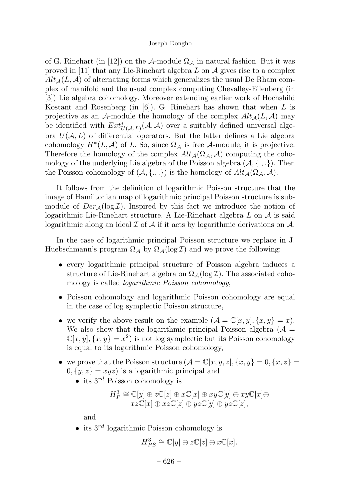of G. Rinehart (in [12]) on the A-module  $\Omega_A$  in natural fashion. But it was proved in [11] that any Lie-Rinehart algebra L on  $\mathcal A$  gives rise to a complex  $Alt_A(L, \mathcal{A})$  of alternating forms which generalizes the usual De Rham complex of manifold and the usual complex computing Chevalley-Eilenberg (in [3]) Lie algebra cohomology. Moreover extending earlier work of Hochshild Kostant and Rosenberg (in  $[6]$ ). G. Rinehart has shown that when L is projective as an A-module the homology of the complex  $Alt_A(L, \mathcal{A})$  may be identified with  $Ext^*_{U(\mathcal{A},L)}(\mathcal{A}, \mathcal{A})$  over a suitably defined universal algebra  $U(\mathcal{A}, L)$  of differential operators. But the latter defines a Lie algebra cohomology  $H^*(L, \mathcal{A})$  of L. So, since  $\Omega_{\mathcal{A}}$  is free A-module, it is projective. Therefore the homology of the complex  $Alt_{\mathcal{A}}(\Omega_{\mathcal{A}}, \mathcal{A})$  computing the cohomology of the underlying Lie algebra of the Poisson algebra  $(\mathcal{A}, \{.,.\})$ . Then the Poisson cohomology of  $(\mathcal{A}, \{.,.\})$  is the homology of  $Alt_{\mathcal{A}}(\Omega_{\mathcal{A}}, \mathcal{A})$ .

It follows from the definition of logarithmic Poisson structure that the image of Hamiltonian map of logarithmic principal Poisson structure is submodule of  $Der_{\mathcal{A}}(\log \mathcal{I})$ . Inspired by this fact we introduce the notion of logarithmic Lie-Rinehart structure. A Lie-Rinehart algebra L on A is said logarithmic along an ideal  $\mathcal I$  of  $\mathcal A$  if it acts by logarithmic derivations on  $\mathcal A$ .

In the case of logarithmic principal Poisson structure we replace in J. Huebschmann's program  $\Omega_{\mathcal{A}}$  by  $\Omega_{\mathcal{A}}(\log \mathcal{I})$  and we prove the following:

- every logarithmic principal structure of Poisson algebra induces a structure of Lie-Rinehart algebra on  $\Omega_A(\log \mathcal{I})$ . The associated cohomology is called logarithmic Poisson cohomology,
- Poisson cohomology and logarithmic Poisson cohomology are equal in the case of log symplectic Poisson structure,
- we verify the above result on the example  $(A = \mathbb{C}[x, y], \{x, y\} = x)$ . We also show that the logarithmic principal Poisson algebra  $(A =$  $\mathbb{C}[x, y], \{x, y\} = x^2$  is not log symplectic but its Poisson cohomology is equal to its logarithmic Poisson cohomology,
- we prove that the Poisson structure  $(A = \mathbb{C}[x, y, z], \{x, y\} = 0, \{x, z\} =$  $0, \{y, z\} = xyz$ ) is a logarithmic principal and
	- its  $3^{rd}$  Poisson cohomology is

$$
H_P^3 \cong \mathbb{C}[y] \oplus z\mathbb{C}[z] \oplus x\mathbb{C}[x] \oplus xy\mathbb{C}[y] \oplus xy\mathbb{C}[x] \oplus xz\mathbb{C}[x] \oplus xz\mathbb{C}[z] \oplus yz\mathbb{C}[y] \oplus yz\mathbb{C}[z],
$$

and

• its  $3^{rd}$  logarithmic Poisson cohomology is

$$
H_{PS}^3 \cong \mathbb{C}[y] \oplus z\mathbb{C}[z] \oplus x\mathbb{C}[x].
$$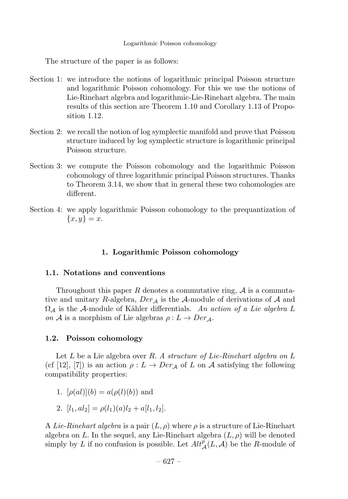The structure of the paper is as follows:

- Section 1: we introduce the notions of logarithmic principal Poisson structure and logarithmic Poisson cohomology. For this we use the notions of Lie-Rinehart algebra and logarithmic-Lie-Rinehart algebra. The main results of this section are Theorem 1.10 and Corollary 1.13 of Proposition 1.12.
- Section 2: we recall the notion of log symplectic manifold and prove that Poisson structure induced by log symplectic structure is logarithmic principal Poisson structure.
- Section 3: we compute the Poisson cohomology and the logarithmic Poisson cohomology of three logarithmic principal Poisson structures. Thanks to Theorem 3.14, we show that in general these two cohomologies are different.
- Section 4: we apply logarithmic Poisson cohomology to the prequantization of  ${x, y} = x.$

## 1.Logarithmic Poisson cohomology

# 1.1. Notations and conventions

Throughout this paper  $R$  denotes a commutative ring,  $A$  is a commutative and unitary R-algebra,  $Der_{\mathcal{A}}$  is the A-module of derivations of A and  $\Omega_{\mathcal{A}}$  is the A-module of Kähler differentials. An action of a Lie algebra L on A is a morphism of Lie algebras  $\rho: L \to Der_{\mathcal{A}}$ .

## 1.2. Poisson cohomology

Let  $L$  be a Lie algebra over  $R$ . A structure of Lie-Rinehart algebra on  $L$ (cf [12], [7]) is an action  $\rho: L \to Der_{\mathcal{A}}$  of L on A satisfying the following compatibility properties:

1.  $[\rho(at)](b) = a(\rho(l)(b))$  and

2. 
$$
[l_1, al_2] = \rho(l_1)(a)l_2 + a[l_1, l_2].
$$

A Lie-Rinehart algebra is a pair  $(L, \rho)$  where  $\rho$  is a structure of Lie-Rinehart algebra on L. In the sequel, any Lie-Rinehart algebra  $(L, \rho)$  will be denoted simply by L if no confusion is possible. Let  $Alt_A^p(L, \mathcal{A})$  be the R-module of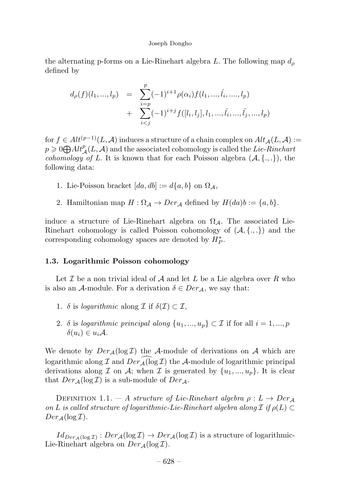the alternating p-forms on a Lie-Rinehart algebra L. The following map  $d_{\rho}$ defined by

$$
d_{\rho}(f)(l_1, ..., l_p) = \sum_{i=p}^{p} (-1)^{i+1} \rho(\alpha_i) f(l_1, ..., \hat{l_i}, ..., l_p)
$$
  
+ 
$$
\sum_{i < j}^{p} (-1)^{i+j} f([l_i, l_j], l_1, ..., \hat{l_i}, ..., \hat{l_j}, ..., l_p)
$$

for  $f \in Alt^{(p-1)}(L, \mathcal{A})$  induces a structure of a chain complex on  $Alt_{\mathcal{A}}(L, \mathcal{A})$  :=  $p \geq 0 \bigoplus Alt_{\mathcal{A}}^{p}(L, \mathcal{A})$  and the associated cohomology is called the Lie-Rinehart *cohomology of L*. It is known that for each Poisson algebra  $(A, \{.,.\}),$  the following data:

- 1. Lie-Poisson bracket  $[da, db] := d\{a, b\}$  on  $\Omega_A$ ,
- 2. Hamiltonian map  $H : \Omega_{\mathcal{A}} \to Der_{\mathcal{A}}$  defined by  $H(da)b := \{a, b\}.$

induce a structure of Lie-Rinehart algebra on  $\Omega_{\mathcal{A}}$ . The associated Lie-Rinehart cohomology is called Poisson cohomology of  $(\mathcal{A}, \{.,.\})$  and the corresponding cohomology spaces are denoted by  $H_P^*$ .

# 1.3. Logarithmic Poisson cohomology

Let  $\mathcal I$  be a non trivial ideal of  $\mathcal A$  and let  $L$  be a Lie algebra over  $R$  who is also an A-module. For a derivation  $\delta \in Der_{\mathcal{A}}$ , we say that:

- 1.  $\delta$  is logarithmic along  $\mathcal I$  if  $\delta(\mathcal I) \subset \mathcal I$ ,
- 2. δ is logarithmic principal along  $\{u_1, ..., u_p\} \subset \mathcal{I}$  if for all  $i = 1, ..., p$  $\delta(u_i) \in u_i \mathcal{A}.$

We denote by  $Der_{\mathcal{A}}(\log \mathcal{I})$  the A-module of derivations on A which are logarithmic along  $\mathcal I$  and  $Der_{\mathcal A}(\log \mathcal I)$  the  $\mathcal A$ -module of logarithmic principal derivations along  $\mathcal I$  on  $\mathcal A$ ; when  $\mathcal I$  is generated by  $\{u_1, ..., u_p\}$ . It is clear that  $Der_{\mathcal{A}}(\log \mathcal{I})$  is a sub-module of  $Der_{\mathcal{A}}$ .

DEFINITION 1.1. — A structure of Lie-Rinehart algebra  $\rho: L \to Der_{\mathcal{A}}$ on L is called structure of logarithmic-Lie-Rinehart algebra along  $\mathcal I$  if  $\rho(L) \subset$  $Der_{\mathcal{A}}(\log \mathcal{I}).$ 

 $Id_{Der_{\mathcal{A}}(\log \mathcal{I})}: Der_{\mathcal{A}}(\log \mathcal{I}) \to Der_{\mathcal{A}}(\log \mathcal{I})$  is a structure of logarithmic-Lie-Rinehart algebra on  $Der_{\mathcal{A}}(\log \mathcal{I}).$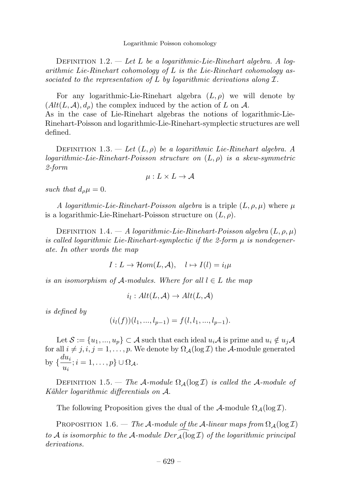DEFINITION 1.2. — Let L be a logarithmic-Lie-Rinehart algebra. A logarithmic Lie-Rinehart cohomology of L is the Lie-Rinehart cohomology associated to the representation of L by logarithmic derivations along  $\mathcal{I}$ .

For any logarithmic-Lie-Rinehart algebra  $(L, \rho)$  we will denote by  $(Alt(L, \mathcal{A}), d_{\rho})$  the complex induced by the action of L on  $\mathcal{A}$ . As in the case of Lie-Rinehart algebras the notions of logarithmic-Lie-Rinehart-Poisson and logarithmic-Lie-Rinehart-symplectic structures are well defined.

DEFINITION 1.3. — Let  $(L, \rho)$  be a logarithmic Lie-Rinehart algebra. A logarithmic-Lie-Rinehart-Poisson structure on  $(L, \rho)$  is a skew-symmetric 2-form

$$
\mu: L \times L \to \mathcal{A}
$$

such that  $d_{\rho}\mu = 0$ .

A logarithmic-Lie-Rinehart-Poisson algebra is a triple  $(L, \rho, \mu)$  where  $\mu$ is a logarithmic-Lie-Rinehart-Poisson structure on  $(L, \rho)$ .

DEFINITION 1.4. — A logarithmic-Lie-Rinehart-Poisson algebra  $(L, \rho, \mu)$ is called logarithmic Lie-Rinehart-symplectic if the 2-form  $\mu$  is nondegenerate. In other words the map

$$
I: L \to \mathcal{H}om(L, \mathcal{A}), \quad l \mapsto I(l) = i_l \mu
$$

is an isomorphism of A-modules. Where for all  $l \in L$  the map

 $i_l : Alt(L, \mathcal{A}) \rightarrow Alt(L, \mathcal{A})$ 

is defined by

$$
(i_l(f))(l_1, ..., l_{p-1}) = f(l, l_1, ..., l_{p-1}).
$$

Let  $\mathcal{S} := \{u_1, ..., u_p\} \subset \mathcal{A}$  such that each ideal  $u_i \mathcal{A}$  is prime and  $u_i \notin u_j \mathcal{A}$ for all  $i \neq j, i, j = 1, \ldots, p$ . We denote by  $\Omega_{\mathcal{A}}(\log \mathcal{I})$  the  $\mathcal{A}$ -module generated by  $\{\frac{du_i}{u_i}\}$  $\frac{\partial u_i}{\partial u_i}; i = 1, \ldots, p\} \cup \Omega_{\mathcal{A}}.$ 

DEFINITION 1.5. — The A-module  $\Omega_{\mathcal{A}}(\log \mathcal{I})$  is called the A-module of Kähler logarithmic differentials on A.

The following Proposition gives the dual of the A-module  $\Omega_A(\log T)$ .

PROPOSITION 1.6. — The A-module of the A-linear maps from  $\Omega_{\mathcal{A}}(\log \mathcal{I})$ to A is isomorphic to the A-module  $Der_{\mathcal{A}}(\log \mathcal{I})$  of the logarithmic principal derivations.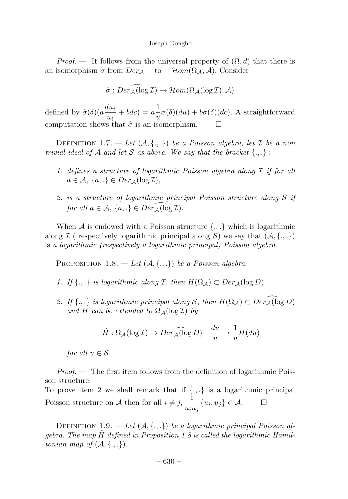*Proof.* — It follows from the universal property of  $(\Omega, d)$  that there is an isomorphism  $\sigma$  from  $Der_{\mathcal{A}}$  to  $\mathcal{H}om(\Omega_{\mathcal{A}}, \mathcal{A})$ . Consider

$$
\hat{\sigma}:Der_{\mathcal{A}}(\overline{\log \mathcal{I}})\to \mathcal{H}om(\Omega_{\mathcal{A}}(\log \mathcal{I}),\mathcal{A})
$$

defined by  $\hat{\sigma}(\delta)(a \frac{du_i}{dt})$  $\frac{du_i}{u_i} + bdc$  =  $a\frac{1}{u}\sigma(\delta)(du) + b\sigma(\delta)(dc)$ . A straightforward computation shows that  $\hat{\sigma}$  is an isomorphism.

DEFINITION 1.7. — Let  $(A, \{.,.\})$  be a Poisson algebra, let  $\mathcal I$  be a non trivial ideal of A and let S as above. We say that the bracket  $\{.,.\}$ :

- 1. defines a structure of logarithmic Poisson algebra along I if for all  $a \in \mathcal{A}, \{a, \cdot\} \in Der_{\mathcal{A}}(\log \mathcal{I}),$
- 2. is a structure of logarithmic principal Poisson structure along S if for all  $a \in \mathcal{A}, \{a, .\} \in Der_{\mathcal{A}}(\log \mathcal{I}).$

When A is endowed with a Poisson structure  $\{.,.\}$  which is logarithmic along  $\mathcal I$  ( respectively logarithmic principal along  $\mathcal S$ ) we say that  $(\mathcal A, \{.,.\})$ is a logarithmic (respectively a logarithmic principal) Poisson algebra.

PROPOSITION 1.8. — Let  $(A, \{.,.\})$  be a Poisson algebra.

- 1. If  $\{.,.\}$  is logarithmic along *I*, then  $H(\Omega_{\mathcal{A}}) \subset Der_{\mathcal{A}}(\log D)$ .
- 2. If  $\{.,.\}$  is logarithmic principal along S, then  $H(\Omega_{\mathcal{A}}) \subset Der_{\mathcal{A}}(\log D)$ and H can be extended to  $\Omega_A(\log T)$  by

$$
\tilde{H}: \Omega_{\mathcal{A}}(\log \mathcal{I}) \to Der_{\mathcal{A}}(\log D) \quad \frac{du}{u} \mapsto \frac{1}{u}H(du)
$$

for all  $u \in \mathcal{S}$ .

 $Proof.$  — The first item follows from the definition of logarithmic Poisson structure.

To prove item 2 we shall remark that if  $\{.,.\}$  is a logarithmic principal Poisson structure on A then for all  $i \neq j$ ,  $\frac{1}{n+1}$  $\frac{1}{u_iu_j}\{u_i, u_j\} \in \mathcal{A}.$   $\Box$ 

DEFINITION 1.9. — Let  $(A, \{.,.\})$  be a logarithmic principal Poisson algebra. The map  $H$  defined in Proposition 1.8 is called the logarithmic Hamiltonian map of  $(A, \{.,.\}).$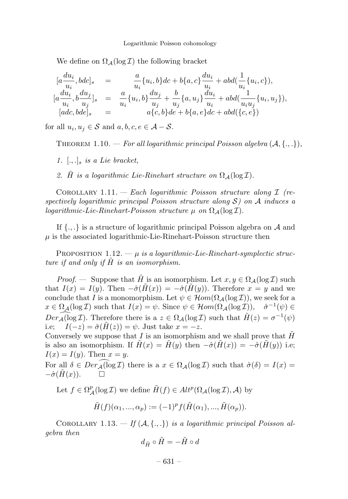We define on  $\Omega_A(\log T)$  the following bracket

$$
[a\frac{du_i}{u_i}, bdc]_s = \frac{a}{u_i}\{u_i, b\}dc + b\{a, c\}\frac{du_i}{u_i} + abd(\frac{1}{u_i}\{u_i, c\}),
$$
  
\n
$$
[a\frac{du_i}{u_i}, b\frac{du_j}{u_j}]_s = \frac{a}{u_i}\{u_i, b\}\frac{du_j}{u_j} + \frac{b}{u_j}\{a, u_j\}\frac{du_i}{u_i} + abd(\frac{1}{u_iu_j}\{u_i, u_j\}),
$$
  
\n
$$
[adc, bde]_s = a\{c, b\}de + b\{a, e\}dc + abd(\{c, e\})
$$

for all  $u_i, u_j \in \mathcal{S}$  and  $a, b, c, e \in \mathcal{A} - \mathcal{S}$ .

THEOREM 1.10. — For all logarithmic principal Poisson algebra  $(A, \{., .\}),$ 

- 1.  $[.,.]_s$  is a Lie bracket,
- 2. H is a logarithmic Lie-Rinehart structure on  $\Omega_A(\log T)$ .

COROLLARY 1.11. — Each logarithmic Poisson structure along  $\mathcal I$  (respectively logarithmic principal Poisson structure along  $S$ ) on  $A$  induces a logarithmic-Lie-Rinehart-Poisson structure  $\mu$  on  $\Omega_{\mathcal{A}}(\log \mathcal{I}).$ 

If  $\{.,.\}$  is a structure of logarithmic principal Poisson algebra on A and  $\mu$  is the associated logarithmic-Lie-Rinehart-Poisson structure then

PROPOSITION 1.12.  $-\mu$  is a logarithmic-Lie-Rinehart-symplectic structure if and only if  $H$  is an isomorphism.

*Proof.* — Suppose that H is an isomorphism. Let  $x, y \in \Omega_A(\log T)$  such that  $I(x) = I(y)$ . Then  $-\hat{\sigma}(\hat{H}(x)) = -\hat{\sigma}(\hat{H}(y))$ . Therefore  $x = y$  and we conclude that I is a monomorphism. Let  $\psi \in \mathcal{H}om(\Omega_A(\log T))$ , we seek for a  $x \in \Omega_{\mathcal{A}}(\log \mathcal{I})$  such that  $I(x) = \psi$ . Since  $\psi \in \mathcal{H}om(\Omega_{\mathcal{A}}(\log \mathcal{I}))$ ,  $\hat{\sigma}^{-1}(\psi) \in$  $Der_{\mathcal{A}}(\log \mathcal{I})$ . Therefore there is a  $z \in \Omega_{\mathcal{A}}(\log \mathcal{I})$  such that  $\tilde{H}(z) = \sigma^{-1}(\psi)$ i.e;  $I(-z) = \hat{\sigma}(H(z)) = \psi$ . Just take  $x = -z$ .

Conversely we suppose that I is an isomorphism and we shall prove that  $\hat{H}$ is also an isomorphism. If  $\tilde{H}(x) = \tilde{H}(y)$  then  $-\hat{\sigma}(\tilde{H}(x)) = -\hat{\sigma}(\tilde{H}(y))$  i.e;  $I(x) = I(y)$ . Then  $x = y$ .

For all  $\delta \in Der_{\mathcal{A}}(\log \mathcal{I})$  there is a  $x \in \Omega_{\mathcal{A}}(\log \mathcal{I})$  such that  $\hat{\sigma}(\delta) = I(x)$  $-\hat{\sigma}(H(x)).$   $\Box$ 

Let  $f \in \Omega^p_{\mathcal{A}}(\log \mathcal{I})$  we define  $\tilde{H}(f) \in Alt^p(\Omega_{\mathcal{A}}(\log \mathcal{I}), \mathcal{A})$  by

$$
\tilde{H}(f)(\alpha_1, ..., \alpha_p) := (-1)^p f(\tilde{H}(\alpha_1), ..., \tilde{H}(\alpha_p)).
$$

COROLLARY 1.13. — If  $(A, \{.,.\})$  is a logarithmic principal Poisson algebra then

$$
d_{\tilde{H}} \circ \tilde{H} = -\tilde{H} \circ d
$$

– 631 –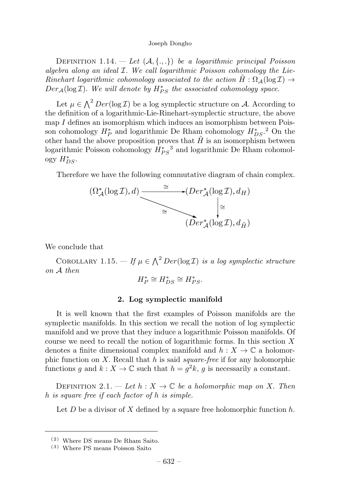DEFINITION 1.14. — Let  $(A, \{.,.\})$  be a logarithmic principal Poisson algebra along an ideal I. We call logarithmic Poisson cohomology the Lie-Rinehart logarithmic cohomology associated to the action  $H : \Omega_A(\log \mathcal{I}) \to$  $Der_{\mathcal{A}}(\log \mathcal{I})$ . We will denote by  $H_{PS}^*$  the associated cohomology space.

Let  $\mu \in \Lambda^2$  Der(log *I*) be a log symplectic structure on A. According to the definition of a logarithmic-Lie-Rinehart-symplectic structure, the above map  $I$  defines an isomorphism which induces an isomorphism between Poisson cohomology  $H_P^*$  and logarithmic De Rham cohomology  $H_{DS}^*$ .<sup>2</sup> On the other hand the above proposition proves that  $\tilde{H}$  is an isomorphism between logarithmic Poisson cohomology  $H_{PS}^*$ <sup>3</sup> and logarithmic De Rham cohomology  $H_{DS}^*$ .

Therefore we have the following commutative diagram of chain complex.



We conclude that

COROLLARY 1.15. — If  $\mu \in \Lambda^2$  Der(log *I*) is a log symplectic structure on A then

$$
H_P^* \cong H_{DS}^* \cong H_{PS}^*.
$$

# 2.Log symplectic manifold

It is well known that the first examples of Poisson manifolds are the symplectic manifolds. In this section we recall the notion of log symplectic manifold and we prove that they induce a logarithmic Poisson manifolds. Of course we need to recall the notion of logarithmic forms. In this section X denotes a finite dimensional complex manifold and  $h: X \to \mathbb{C}$  a holomorphic function on X. Recall that h is said *square-free* if for any holomorphic functions g and  $k: X \to \mathbb{C}$  such that  $h = q^2k$ , g is necessarily a constant.

DEFINITION 2.1. — Let  $h: X \to \mathbb{C}$  be a holomorphic map on X. Then h is square free if each factor of h is simple.

Let  $D$  be a divisor of  $X$  defined by a square free holomorphic function  $h$ .

<sup>(2)</sup> Where DS means De Rham Saito.

<sup>(3)</sup> Where PS means Poisson Saito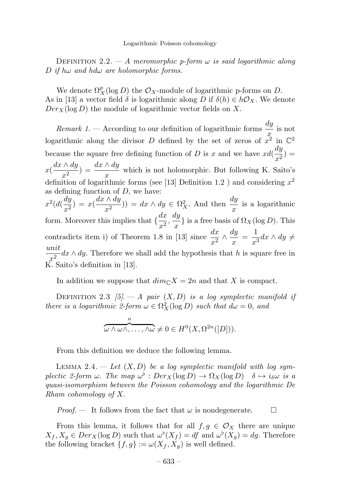DEFINITION 2.2. — A meromorphic p-form  $\omega$  is said logarithmic along D if hw and hdw are holomorphic forms.

We denote  $\Omega_X^p(\log D)$  the  $\mathcal{O}_X$ -module of logarithmic p-forms on D. As in [13] a vector field  $\delta$  is logarithmic along D if  $\delta(h) \in h\mathcal{O}_X$ . We denote  $Der_X(\log D)$  the module of logarithmic vector fields on X.

Remark 1. – According to our definition of logarithmic forms  $\frac{dy}{x}$  is not logarithmic along the divisor D defined by the set of zeros of  $x^2$  in  $\mathbb{C}^2$ because the square free defining function of D is x and we have  $xd(\frac{dy}{x^2})$  =  $x(\frac{dx \wedge dy}{x^2}) = \frac{dx \wedge dy}{x}$  which is not holomorphic. But following K. Saito's definition of logarithmic forms (see [13] Definition 1.2 ) and considering  $x^2$ as defining function of  $D$ , we have:  $x^2(d(\frac{dy}{x^2}) = x(\frac{dx \wedge dy}{x^2})) = dx \wedge dy \in \Omega^2_X$ . And then  $\frac{dy}{x}$  is a logarithmic form. Moreover this implies that  $\{\frac{dx}{x^2}, \frac{dy}{x}\}\$ is a free basis of  $\Omega_X(\log D)$ . This contradicts item i) of Theorem 1.8 in [13] since  $\frac{dx}{x^2} \wedge \frac{dy}{x} = \frac{1}{x^3} dx \wedge dy \neq$  $\frac{unit}{x^2}dx \wedge dy$ . Therefore we shall add the hypothesis that h is square free in

K. Saito's definition in [13].

In addition we suppose that  $dim_{\mathbb{C}} X = 2n$  and that X is compact.

DEFINITION 2.3 [5].  $-A$  pair  $(X, D)$  is a log symplectic manifold if there is a logarithmic 2-form  $\omega \in \Omega_X^2(\log D)$  such that  $d\omega = 0$ , and

$$
\overbrace{\omega \wedge \omega \wedge, \ldots, \wedge \omega}^{n} \neq 0 \in H^{0}(X, \Omega^{2n}([D])).
$$

From this definition we deduce the following lemma.

LEMMA 2.4. — Let  $(X, D)$  be a log symplectic manifold with log symplectic 2-form  $\omega$ . The map  $\omega^{\flat}$ :  $Der_X(\log D) \to \Omega_X(\log D)$   $\delta \mapsto i_{\delta} \omega$  is a quasi-isomorphism between the Poisson cohomology and the logarithmic De Rham cohomology of X.

*Proof.*  $-$  It follows from the fact that  $\omega$  is nondegenerate.  $\Box$ 

From this lemma, it follows that for all  $f,g \in \mathcal{O}_X$  there are unique  $X_f, X_g \in Der_X(\log D)$  such that  $\omega^{\flat}(X_f) = df$  and  $\omega^{\flat}(X_g) = dg$ . Therefore the following bracket  $\{f,g\} := \omega(X_f, X_g)$  is well defined.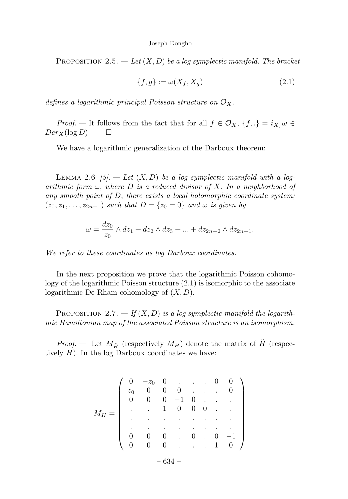PROPOSITION 2.5. — Let  $(X, D)$  be a log symplectic manifold. The bracket

$$
\{f,g\} := \omega(X_f, X_g) \tag{2.1}
$$

defines a logarithmic principal Poisson structure on  $\mathcal{O}_X$ .

*Proof.* — It follows from the fact that for all  $f \in \mathcal{O}_X$ ,  $\{f, .\} = i_{X_f} \omega \in \mathbb{C}$ <br> $\Gamma_X(\log D)$  $Der_X(\log D)$ 

We have a logarithmic generalization of the Darboux theorem:

LEMMA 2.6 [5]. — Let  $(X, D)$  be a log symplectic manifold with a logarithmic form  $\omega$ , where D is a reduced divisor of X. In a neighborhood of any smooth point of  $D$ , there exists a local holomorphic coordinate system;  $(z_0, z_1, \ldots, z_{2n-1})$  such that  $D = \{z_0 = 0\}$  and  $\omega$  is given by

$$
\omega = \frac{dz_0}{z_0} \wedge dz_1 + dz_2 \wedge dz_3 + \dots + dz_{2n-2} \wedge dz_{2n-1}.
$$

We refer to these coordinates as log Darboux coordinates.

In the next proposition we prove that the logarithmic Poisson cohomology of the logarithmic Poisson structure (2.1) is isomorphic to the associate logarithmic De Rham cohomology of  $(X, D)$ .

PROPOSITION 2.7.  $-If(X, D)$  is a log symplectic manifold the logarithmic Hamiltonian map of the associated Poisson structure is an isomorphism.

*Proof.* — Let  $M_{\tilde{H}}$  (respectively  $M_H$ ) denote the matrix of  $\tilde{H}$  (respectively  $H$ ). In the log Darboux coordinates we have:

$$
M_H=\left(\begin{array}{cccccc}0&-z_0&0&.&.&0&0\\z_0&0&0&0&.&.&0\\0&0&0&-1&0&.&.&\cdot\\.&.&1&0&0&0&.&.\cdot\\.&.&.&.&.&.&.&.\cdot\\0&0&0&.&0&.&0&-1\\0&0&0&.&.&0&0&-1\\0&0&0&.&.&.&1&0\end{array}\right)
$$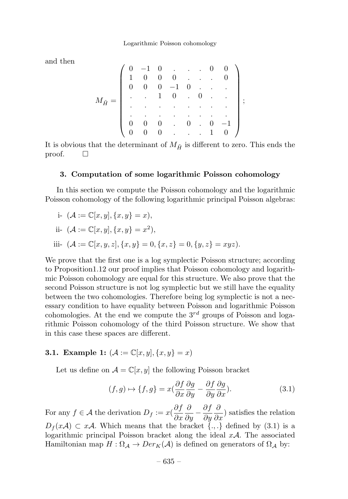and then

MH˜ = 0 −1 0 . .. 0 0 1000 ... 0 000 −1 0 .. . . . 1 0 . 0 . . . . . . ... . . . . . ... . 000 . 0 . 0 −1 000 . .. 1 0 ;

It is obvious that the determinant of  $M_{\tilde{H}}$  is different to zero. This ends the proof.  $\Box$ 

### 3.Computation of some logarithmic Poisson cohomology

In this section we compute the Poisson cohomology and the logarithmic Poisson cohomology of the following logarithmic principal Poisson algebras:

- i-  $(A := \mathbb{C}[x, y], \{x, y\} = x),$
- ii-  $(A := \mathbb{C}[x, y], \{x, y\} = x^2),$
- iii-  $(A := \mathbb{C}[x, y, z], \{x, y\} = 0, \{x, z\} = 0, \{y, z\} = xyz$ .

We prove that the first one is a log symplectic Poisson structure; according to Proposition1.12 our proof implies that Poisson cohomology and logarithmic Poisson cohomology are equal for this structure. We also prove that the second Poisson structure is not log symplectic but we still have the equality between the two cohomologies. Therefore being log symplectic is not a necessary condition to have equality between Poisson and logarithmic Poisson cohomologies. At the end we compute the  $3^{rd}$  groups of Poisson and logarithmic Poisson cohomology of the third Poisson structure. We show that in this case these spaces are different.

# **3.1.** Example 1:  $(A := \mathbb{C}[x, y], \{x, y\} = x)$

Let us define on  $\mathcal{A} = \mathbb{C}[x, y]$  the following Poisson bracket

$$
(f,g) \mapsto \{f,g\} = x\left(\frac{\partial f}{\partial x}\frac{\partial g}{\partial y} - \frac{\partial f}{\partial y}\frac{\partial g}{\partial x}\right).
$$
 (3.1)

For any  $f \in \mathcal{A}$  the derivation  $D_f := x \left( \frac{\partial f}{\partial x} \right)$  $\partial x$  $\frac{\partial}{\partial y} - \frac{\partial f}{\partial y}$  $\frac{\partial}{\partial x}$ ) satisfies the relation  $D_f(x\mathcal{A}) \subset x\mathcal{A}$ . Which means that the bracket  $\{.,.\}$  defined by  $(3.1)$  is a logarithmic principal Poisson bracket along the ideal  $xA$ . The associated Hamiltonian map  $H : \Omega_{\mathcal{A}} \to Der_K(\mathcal{A})$  is defined on generators of  $\Omega_{\mathcal{A}}$  by: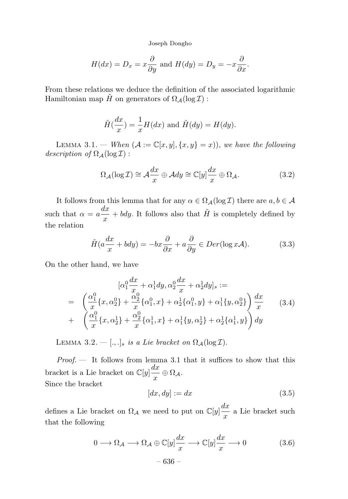$$
H(dx) = D_x = x \frac{\partial}{\partial y} \text{ and } H(dy) = D_y = -x \frac{\partial}{\partial x}.
$$

From these relations we deduce the definition of the associated logarithmic Hamiltonian map  $\tilde{H}$  on generators of  $\Omega_{\mathcal{A}}(\log \mathcal{I})$ :

$$
\tilde{H}(\frac{dx}{x}) = \frac{1}{x}H(dx) \text{ and } \tilde{H}(dy) = H(dy).
$$

LEMMA 3.1. — When  $(A := \mathbb{C}[x, y], \{x, y\} = x)$ , we have the following description of  $\Omega_{\mathcal{A}}(\log \mathcal{I})$ :

$$
\Omega_{\mathcal{A}}(\log \mathcal{I}) \cong \mathcal{A} \frac{dx}{x} \oplus \mathcal{A} dy \cong \mathbb{C}[y] \frac{dx}{x} \oplus \Omega_{\mathcal{A}}.
$$
 (3.2)

It follows from this lemma that for any  $\alpha \in \Omega_{\mathcal{A}}(\log \mathcal{I})$  there are  $a, b \in \mathcal{A}$ such that  $\alpha = a \frac{dx}{y}$  $\frac{dx}{x} + bdy$ . It follows also that  $\tilde{H}$  is completely defined by the relation

$$
\tilde{H}(a\frac{dx}{x} + bdy) = -bx\frac{\partial}{\partial x} + a\frac{\partial}{\partial y} \in Der(\log x\mathcal{A}).\tag{3.3}
$$

On the other hand, we have

$$
[\alpha_1^0 \frac{dx}{x} + \alpha_1^1 dy, \alpha_2^0 \frac{dx}{x} + \alpha_2^1 dy]_s :=
$$
  
=  $\left( \frac{\alpha_1^0}{x} \{x, \alpha_2^0\} + \frac{\alpha_2^0}{x} \{\alpha_1^0, x\} + \alpha_2^1 \{\alpha_1^0, y\} + \alpha_1^1 \{y, \alpha_2^0\} \right) \frac{dx}{x}$  (3.4)  
+  $\left( \frac{\alpha_1^0}{x} \{x, \alpha_2^1\} + \frac{\alpha_2^0}{x} \{\alpha_1^1, x\} + \alpha_1^1 \{y, \alpha_2^1\} + \alpha_2^1 \{\alpha_1^1, y\} \right) dy$ 

LEMMA 3.2.  $-$  [., .]<sub>s</sub> is a Lie bracket on  $\Omega_{\mathcal{A}}(\log \mathcal{I})$ .

Proof. — It follows from lemma 3.1 that it suffices to show that this bracket is a Lie bracket on  $\mathbb{C}[y] \frac{dx}{x}$  $\frac{x}{x} \oplus \Omega_{\mathcal{A}}.$ Since the bracket

$$
[dx, dy] := dx \tag{3.5}
$$

defines a Lie bracket on  $\Omega_{\mathcal{A}}$  we need to put on  $\mathbb{C}[y] \frac{dx}{x}$  $\frac{3x}{x}$  a Lie bracket such that the following

$$
0 \longrightarrow \Omega_{\mathcal{A}} \longrightarrow \Omega_{\mathcal{A}} \oplus \mathbb{C}[y] \frac{dx}{x} \longrightarrow \mathbb{C}[y] \frac{dx}{x} \longrightarrow 0 \tag{3.6}
$$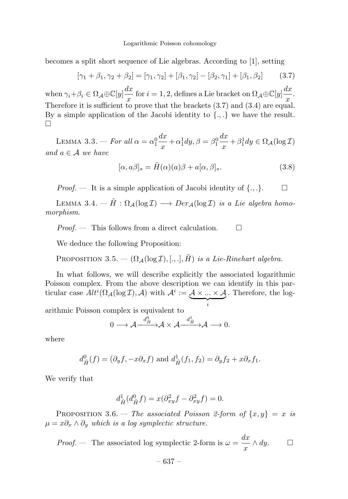becomes a split short sequence of Lie algebras. According to [1], setting

$$
[\gamma_1 + \beta_1, \gamma_2 + \beta_2] = [\gamma_1, \gamma_2] + [\beta_1, \gamma_2] - [\beta_2, \gamma_1] + [\beta_1, \beta_2]
$$
(3.7)

when  $\gamma_i + \beta_i \in \Omega_{\mathcal{A}} \oplus \mathbb{C}[y] \frac{dx}{x}$  $\frac{dx}{dx}$  for  $i = 1, 2$ , defines a Lie bracket on  $\Omega_{\mathcal{A}} \oplus \mathbb{C}[y] \frac{dx}{x}$ . Therefore it is sufficient to prove that the brackets  $(3.7)$  and  $(3.4)$  are equal. By a simple application of the Jacobi identity to  $\{.,.\}$  we have the result.  $\Box$ 

LEMMA 3.3. — For all  $\alpha = \alpha_1^0$  $dx$  $\frac{dx}{x} + \alpha_1^1 dy, \beta = \beta_1^0$  $dx$  $\frac{dx}{x} + \beta_1^1 dy \in \Omega_{\mathcal{A}}(\log \mathcal{I})$ and  $a \in \mathcal{A}$  we have

$$
[\alpha, a\beta]_s = \tilde{H}(\alpha)(a)\beta + a[\alpha, \beta]_s.
$$
\n(3.8)

*Proof.*  $\blacksquare$  It is a simple application of Jacobi identity of  $\{.,.\}.$  $\Box$ 

LEMMA 3.4.  $-\tilde{H} : \Omega_{\mathcal{A}}(\log \mathcal{I}) \longrightarrow Der_{\mathcal{A}}(\log \mathcal{I})$  is a Lie algebra homomorphism.

*Proof.*  $-$  This follows from a direct calculation.  $\Box$ 

We deduce the following Proposition:

PROPOSITION 3.5.  $-(\Omega_{\mathcal{A}}(\log \mathcal{I}), [\cdot, \cdot], \tilde{H})$  is a Lie-Rinehart algebra.

In what follows, we will describe explicitly the associated logarithmic Poisson complex. From the above description we can identify in this particular case  $Alt^i(\Omega_{\mathcal{A}}(\log \mathcal{I}), \mathcal{A})$  with  $\mathcal{A}^i := \underbrace{\mathcal{A} \times ... \times \mathcal{A}}_{i}$ . Therefore, the log-

arithmic Poisson complex is equivalent to

$$
0 \longrightarrow \mathcal{A} \xrightarrow{d_{\tilde{H}}^{0}} \mathcal{A} \times \mathcal{A} \xrightarrow{d_{\tilde{H}}^{1}} \mathcal{A} \longrightarrow 0.
$$

where

$$
d_{\tilde{H}}^{0}(f) = (\partial_y f, -x\partial_x f) \text{ and } d_{\tilde{H}}^{1}(f_1, f_2) = \partial_y f_2 + x\partial_x f_1.
$$

We verify that

$$
d_{\tilde{H}}^1(d_{\tilde{H}}^0 f) = x(\partial_{xy}^2 f - \partial_{xy}^2 f) = 0.
$$

PROPOSITION 3.6. — The associated Poisson 2-form of  $\{x, y\} = x$  is  $\mu = x \partial_x \wedge \partial_y$  which is a log symplectic structure.

*Proof.* — The associated log symplectic 2-form is  $\omega = \frac{dx}{x} \wedge dy$ .  $\Box$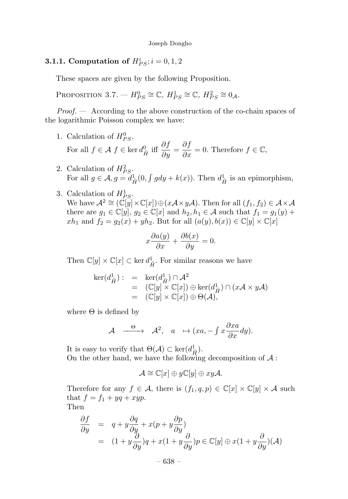# **3.1.1.** Computation of  $H_{PS}^i$ ;  $i = 0, 1, 2$

These spaces are given by the following Proposition.

PROPOSITION 3.7.  $-H_{PS}^0 \cong \mathbb{C}, H_{PS}^1 \cong \mathbb{C}, H_{PS}^2 \cong 0_{\mathcal{A}}.$ 

*Proof.*  $\rightarrow$  According to the above construction of the co-chain spaces of the logarithmic Poisson complex we have:

- 1. Calculation of  $H_{PS}^0$ . For all  $f \in \mathcal{A}$   $f \in \ker d_{\tilde{H}}^0$  iff  $\frac{\partial f}{\partial y} = \frac{\partial f}{\partial x} = 0$ . Therefore  $f \in \mathbb{C}$ ,
- 2. Calculation of  $H_{PS}^2$ . For all  $g \in A$ ,  $g = d_{\tilde{H}}^1(0, \int g dy + k(x))$ . Then  $d_{\tilde{H}}^1$  is an epimorphism,
- 3. Calculation of  $H_{PS}^1$ . We have  $\mathcal{A}^2 \cong (\mathbb{C}[y] \times \mathbb{C}[x]) \oplus (x \mathcal{A} \times y \mathcal{A})$ . Then for all  $(f_1, f_2) \in \mathcal{A} \times \mathcal{A}$ there are  $g_1 \in \mathbb{C}[y]$ ,  $g_2 \in \mathbb{C}[x]$  and  $h_2, h_1 \in \mathcal{A}$  such that  $f_1 = g_1(y)$  +  $xh_1$  and  $f_2 = g_2(x) + yh_2$ . But for all  $(a(y), b(x)) \in \mathbb{C}[y] \times \mathbb{C}[x]$

$$
x\frac{\partial a(y)}{\partial x} + \frac{\partial b(x)}{\partial y} = 0.
$$

Then  $\mathbb{C}[y] \times \mathbb{C}[x] \subset \ker d_{\tilde{H}}^1$ . For similar reasons we have

$$
\ker(d_{\tilde{H}}^1): = \ker(d_{\tilde{H}}^1) \cap \mathcal{A}^2
$$
  
=  $(\mathbb{C}[y] \times \mathbb{C}[x]) \oplus \ker(d_{\tilde{H}}^1) \cap (x\mathcal{A} \times y\mathcal{A})$   
=  $(\mathbb{C}[y] \times \mathbb{C}[x]) \oplus \Theta(\mathcal{A}),$ 

where  $\Theta$  is defined by

$$
\mathcal{A} \xrightarrow{\quad \Theta \quad} \mathcal{A}^2, \quad a \quad \mapsto (xa, -\int x \frac{\partial xa}{\partial x} dy).
$$

It is easy to verify that  $\Theta(\mathcal{A}) \subset \ker(d_{\tilde{H}}^1)$ . On the other hand, we have the following decomposition of  $A$ :

$$
\mathcal{A} \cong \mathbb{C}[x] \oplus y\mathbb{C}[y] \oplus xy\mathcal{A}.
$$

Therefore for any  $f \in \mathcal{A}$ , there is  $(f_1, q, p) \in \mathbb{C}[x] \times \mathbb{C}[y] \times \mathcal{A}$  such that  $f = f_1 + yq + xyp$ . Then

$$
\frac{\partial f}{\partial y} = q + y \frac{\partial q}{\partial y} + x(p + y \frac{\partial p}{\partial y})
$$
  
=  $(1 + y \frac{\partial}{\partial y})q + x(1 + y \frac{\partial}{\partial y})p \in \mathbb{C}[y] \oplus x(1 + y \frac{\partial}{\partial y})(\mathcal{A})$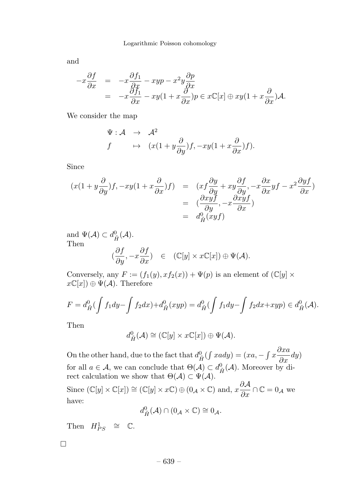and

$$
-x\frac{\partial f}{\partial x} = -x\frac{\partial f_1}{\partial x} - xyp - x^2y\frac{\partial p}{\partial x}
$$
  
=  $-x\frac{\partial f_1}{\partial x} - xy(1 + x\frac{\partial}{\partial x})p \in x\mathbb{C}[x] \oplus xy(1 + x\frac{\partial}{\partial x})\mathcal{A}.$ 

We consider the map

$$
\Psi: \mathcal{A} \rightarrow \mathcal{A}^2
$$
  

$$
f \rightarrow (x(1+y\frac{\partial}{\partial y})f, -xy(1+x\frac{\partial}{\partial x})f).
$$

Since

$$
(x(1+y\frac{\partial}{\partial y})f, -xy(1+x\frac{\partial}{\partial x})f) = (xf\frac{\partial y}{\partial y} + xy\frac{\partial f}{\partial y}, -x\frac{\partial x}{\partial x}yf - x^2\frac{\partial yf}{\partial x})
$$
  

$$
= (\frac{\partial xyf}{\partial y}, -x\frac{\partial xyf}{\partial x})
$$
  

$$
= d_H^2(xyf)
$$

and  $\Psi(\mathcal{A}) \subset d_{\tilde{H}}^0(\mathcal{A})$ . Then ∂f ∂f

$$
(\frac{\partial f}{\partial y}, -x\frac{\partial f}{\partial x}) \in (\mathbb{C}[y] \times x\mathbb{C}[x]) \oplus \Psi(\mathcal{A}).
$$

Conversely, any  $F := (f_1(y), x f_2(x)) + \Psi(p)$  is an element of  $(\mathbb{C}[y] \times$  $x\mathbb{C}[x]$   $\oplus$   $\Psi(\mathcal{A})$ . Therefore

$$
F = d_{\tilde{H}}^{0}(\int f_{1}dy - \int f_{2}dx) + d_{\tilde{H}}^{0}(xyp) = d_{\tilde{H}}^{0}(\int f_{1}dy - \int f_{2}dx + xyp) \in d_{\tilde{H}}^{0}(\mathcal{A}).
$$

Then

$$
d_{\tilde{H}}^0(\mathcal{A}) \cong (\mathbb{C}[y] \times x\mathbb{C}[x]) \oplus \Psi(\mathcal{A}).
$$

On the other hand, due to the fact that  $d_{\tilde{H}}^{0}(\int xady) = (xa, -\int x \frac{\partial xa}{\partial x} dy)$ for all  $a \in \mathcal{A}$ , we can conclude that  $\Theta(\mathcal{A}) \subset d^0_{\tilde{H}}(\mathcal{A})$ . Moreover by direct calculation we show that  $\Theta(\mathcal{A}) \subset \Psi(\mathcal{A})$ .

Since  $(\mathbb{C}[y] \times \mathbb{C}[x]) \cong (\mathbb{C}[y] \times x\mathbb{C}) \oplus (0_{\mathcal{A}} \times \mathbb{C})$  and,  $x \frac{\partial \mathcal{A}}{\partial x} \cap \mathbb{C} = 0_{\mathcal{A}}$  we have:

$$
d_{\tilde{H}}^{0}(\mathcal{A}) \cap (0_{\mathcal{A}} \times \mathbb{C}) \cong 0_{\mathcal{A}}.
$$

Then  $H_{PS}^1 \cong \mathbb{C}$ .

 $\Box$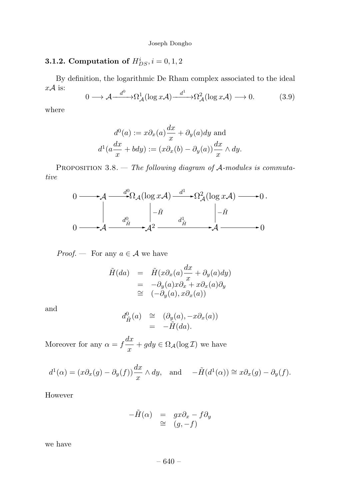# **3.1.2.** Computation of  $H_{DS}^i$ ,  $i = 0, 1, 2$

By definition, the logarithmic De Rham complex associated to the ideal  $xA$  is:

$$
0 \longrightarrow \mathcal{A} \xrightarrow{d^0} \Omega^1_{\mathcal{A}}(\log x \mathcal{A}) \xrightarrow{d^1} \Omega^2_{\mathcal{A}}(\log x \mathcal{A}) \longrightarrow 0. \tag{3.9}
$$

where

$$
d^{0}(a) := x \partial_{x}(a) \frac{dx}{x} + \partial_{y}(a) dy
$$
 and  

$$
d^{1}(a \frac{dx}{x} + b dy) := (x \partial_{x}(b) - \partial_{y}(a)) \frac{dx}{x} \wedge dy.
$$

PROPOSITION  $3.8.$  – The following diagram of A-modules is commutative

$$
0 \longrightarrow A \longrightarrow d^0 \Omega_A(\log xA) \longrightarrow d^1 \longrightarrow \Omega^2_A(\log xA) \longrightarrow 0.
$$
  
\n
$$
\downarrow d^0_{\tilde{H}} \qquad \downarrow d^1_{\tilde{H}} \qquad \downarrow d^1
$$
  
\n
$$
0 \longrightarrow A \longrightarrow d^2 \longrightarrow d^2 \longrightarrow 0
$$

*Proof.* — For any  $a \in \mathcal{A}$  we have

$$
\tilde{H}(da) = \tilde{H}(x\partial_x(a)\frac{dx}{x} + \partial_y(a)dy) \n= -\partial_y(a)x\partial_x + x\partial_x(a)\partial_y \n\approx (-\partial_y(a), x\partial_x(a))
$$

and

$$
d_{\tilde{H}}^0(a) \cong (\partial_y(a), -x\partial_x(a))
$$
  
=  $-\tilde{H}(da).$ 

Moreover for any  $\alpha = f \frac{dx}{x} + g dy \in \Omega_{\mathcal{A}}(\log \mathcal{I})$  we have

$$
d^1(\alpha) = (x\partial_x(g) - \partial_y(f))\frac{dx}{x} \wedge dy
$$
, and  $-\tilde{H}(d^1(\alpha)) \cong x\partial_x(g) - \partial_y(f)$ .

However

$$
-\tilde{H}(\alpha) = gx\partial_x - f\partial_y \n\cong (g, -f)
$$

we have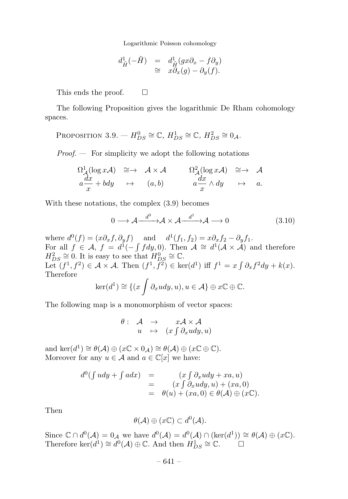Logarithmic Poisson cohomology

$$
\begin{array}{rcl}\nd_{\tilde{H}}^1(-\tilde{H}) & = & d_{\tilde{H}}^1(gx\partial_x - f\partial_y) \\
& \cong & x\partial_x(g) - \partial_y(f).\n\end{array}
$$

This ends the proof. - $\Box$ 

The following Proposition gives the logarithmic De Rham cohomology spaces.

PROPOSITION 3.9.  $-H_{DS}^0 \cong \mathbb{C}, H_{DS}^1 \cong \mathbb{C}, H_{DS}^2 \cong 0_{\mathcal{A}}.$ 

*Proof.*  $\leftarrow$  For simplicity we adopt the following notations

$$
\Omega_{\mathcal{A}}^{1}(\log x\mathcal{A}) \quad \cong \rightarrow \quad \mathcal{A} \times \mathcal{A} \qquad \qquad \Omega_{\mathcal{A}}^{2}(\log x\mathcal{A}) \quad \cong \rightarrow \quad \mathcal{A} \quad a \frac{dx}{x} + bdy \qquad \mapsto \qquad (a, b) \qquad \qquad a \frac{dx}{x} \wedge dy \qquad \mapsto \qquad a.
$$

With these notations, the complex (3.9) becomes

$$
0 \longrightarrow \mathcal{A} \xrightarrow{d^0} \mathcal{A} \times \mathcal{A} \xrightarrow{d^1} \mathcal{A} \longrightarrow 0 \tag{3.10}
$$

where  $d^0(f)=(x\partial_x f, \partial_y f)$  and  $d^1(f_1, f_2)=x\partial_x f_2 - \partial_y f_1$ . For all  $f \in \mathcal{A}$ ,  $f = d^{\mathcal{I}}(-\int f dy, 0)$ . Then  $\mathcal{A} \cong d^{\mathcal{I}}(\mathcal{A} \times \mathcal{A})$  and therefore  $H_{DS}^2 \cong 0$ . It is easy to see that  $H_{DS}^0 \cong \mathbb{C}$ . Let  $(f^1, f^2) \in \mathcal{A} \times \mathcal{A}$ . Then  $(f^1, \tilde{f}^2) \in \ker(d^1)$  iff  $f^1 = x \int \partial_x f^2 dy + k(x)$ . Therefore

$$
\ker(d^1) \cong \{ (x \int \partial_x u dy, u), u \in \mathcal{A} \} \oplus x \mathbb{C} \oplus \mathbb{C}.
$$

The following map is a monomorphism of vector spaces:

$$
\begin{array}{rcl}\n\theta : & \mathcal{A} & \rightarrow & x\mathcal{A} \times \mathcal{A} \\
u & \mapsto & (x \int \partial_x u dy, u)\n\end{array}
$$

and ker $(d^1) \cong \theta(\mathcal{A}) \oplus (x\mathbb{C} \times 0_{\mathcal{A}}) \cong \theta(\mathcal{A}) \oplus (x\mathbb{C} \oplus \mathbb{C}).$ Moreover for any  $u \in \mathcal{A}$  and  $a \in \mathbb{C}[x]$  we have:

$$
d^{0}(\int u dy + \int a dx) = \begin{aligned} (x \int \partial_{x} u dy + x a, u) \\ (x \int \partial_{x} u dy, u) + (x a, 0) \\ = \theta(u) + (x a, 0) \in \theta(\mathcal{A}) \oplus (x \mathbb{C}). \end{aligned}
$$

Then

$$
\theta(\mathcal{A}) \oplus (x\mathbb{C}) \subset d^0(\mathcal{A}).
$$

Since  $\mathbb{C} \cap d^0(\mathcal{A})=0_{\mathcal{A}}$  we have  $d^0(\mathcal{A})=d^0(\mathcal{A}) \cap (\ker(d^1)) \cong \theta(\mathcal{A}) \oplus (x\mathbb{C}).$ Therefore  $\ker(d^1) \cong d^0(\mathcal{A}) \oplus \mathbb{C}$ . And then  $H_{DS}^1 \cong \mathbb{C}$ .  $\Box$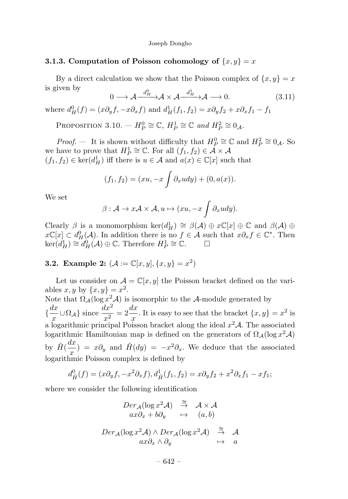# 3.1.3. Computation of Poisson cohomology of  $\{x, y\} = x$

By a direct calculation we show that the Poisson complex of  $\{x, y\} = x$ is given by

$$
0 \longrightarrow \mathcal{A} \xrightarrow{d_H^0} \mathcal{A} \times \mathcal{A} \xrightarrow{d_H^1} \mathcal{A} \longrightarrow 0. \tag{3.11}
$$

where  $d_H^0(f) = (x\partial_y f, -x\partial_x f)$  and  $d_H^1(f_1, f_2) = x\partial_y f_2 + x\partial_x f_1 - f_1$ 

PROPOSITION 3.10.  $-H_P^0 \cong \mathbb{C}$ ,  $H_P^1 \cong \mathbb{C}$  and  $H_P^2 \cong 0_{\mathcal{A}}$ .

*Proof.* — It is shown without difficulty that  $H_P^0 \cong \mathbb{C}$  and  $H_P^2 \cong 0_{\mathcal{A}}$ . So we have to prove that  $H_P^1 \cong \mathbb{C}$ . For all  $(f_1, f_2) \in \mathcal{A} \times \mathcal{A}$  $(f_1, f_2) \in \ker(d_H^1)$  iff there is  $u \in \mathcal{A}$  and  $a(x) \in \mathbb{C}[x]$  such that

$$
(f_1, f_2) = (xu, -x \int \partial_x u dy) + (0, a(x)).
$$

We set

$$
\beta: \mathcal{A} \to x\mathcal{A} \times \mathcal{A}, u \mapsto (xu, -x\int \partial_x u dy).
$$

Clearly  $\beta$  is a monomorphism  $\ker(d_H^1) \cong \beta(\mathcal{A}) \oplus x\mathbb{C}[x] \oplus \mathbb{C}$  and  $\beta(\mathcal{A}) \oplus$  $x\mathbb{C}[x] \subset d^0_H(\mathcal{A})$ . In addition there is no  $f \in \mathcal{A}$  such that  $x\partial_x f \in \mathbb{C}^*$ . Then  $\ker(d_H^1) \cong d_H^0(\mathcal{A}) \oplus \mathbb{C}$ . Therefore  $H_P^1 \cong \mathbb{C}$ .  $\Box$ 

# **3.2.** Example 2:  $(A := \mathbb{C}[x, y], \{x, y\} = x^2)$

Let us consider on  $\mathcal{A} = \mathbb{C}[x, y]$  the Poisson bracket defined on the variables  $x, y$  by  $\{x, y\} = x^2$ . Note that  $\Omega_{\mathcal{A}}(\log x^2 \mathcal{A})$  is isomorphic to the  $\mathcal{A}$ -module generated by {  $dx$  $\frac{dx}{dx} \cup \Omega_{\mathcal{A}}$  since  $\frac{dx^2}{x^2} = 2\frac{dx}{x}$ . It is easy to see that the bracket  $\{x, y\} = x^2$  is a logarithmic principal Poisson bracket along the ideal  $x^2A$ . The associated logarithmic Hamiltonian map is defined on the generators of  $\Omega_{\mathcal{A}}(\log x^2 \mathcal{A})$ by  $\tilde{H}(\frac{dx}{x}) = x\partial_y$  and  $\tilde{H}(dy) = -x^2\partial_x$ . We deduce that the associated

logarithmic Poisson complex is defined by  
\n
$$
d_{\tilde{H}}^0(f) = (x\partial_y f, -x^2 \partial_x f), d_{\tilde{H}}^1(f_1, f_2) = x\partial_y f_2 + x^2 \partial_x f_1 - x f_1;
$$

where we consider the following identification

$$
Der_{\mathcal{A}}(\log x^2 \mathcal{A}) \xrightarrow{\cong} \mathcal{A} \times \mathcal{A}
$$
  
\n
$$
ax\partial_x + b\partial_y \mapsto (a, b)
$$
  
\n
$$
Der_{\mathcal{A}}(\log x^2 \mathcal{A}) \wedge Der_{\mathcal{A}}(\log x^2 \mathcal{A}) \xrightarrow{\cong} \mathcal{A}
$$
  
\n
$$
ax\partial_x \wedge \partial_y \mapsto a
$$

– 642 –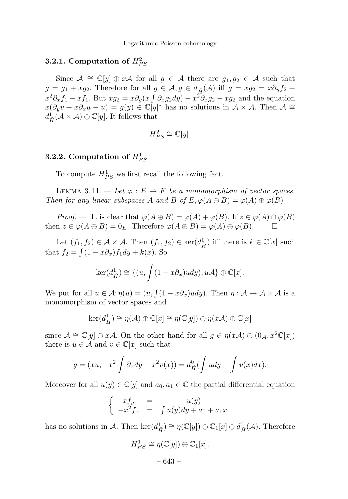# 3.2.1. Computation of  $H^2_{PS}$

Since  $A \cong \mathbb{C}[y] \oplus x\mathcal{A}$  for all  $g \in \mathcal{A}$  there are  $g_1, g_2 \in \mathcal{A}$  such that  $g = g_1 + xg_2$ . Therefore for all  $g \in \mathcal{A}, g \in d_{\tilde{H}}^1(\mathcal{A})$  iff  $g = xg_2 = x\partial_y f_2 + yg_1$  $x^2\partial_x f_1 - x f_1$ . But  $xg_2 = x\partial_y(x \int \partial_x g_2 dy) - x^2\partial_x g_2 - xg_2$  and the equation  $x(\partial_y v + x \partial_x u - u) = g(y) \in \mathbb{C}[y]^*$  has no solutions in  $\mathcal{A} \times \mathcal{A}$ . Then  $\mathcal{A} \cong$  $d_{\tilde{H}}^1(\mathcal{A}\times\mathcal{A})\oplus \mathbb{C}[y]$ . It follows that

$$
H_{PS}^2 \cong \mathbb{C}[y].
$$

# 3.2.2. Computation of  $H^1_{PS}$

To compute  $H_{PS}^1$  we first recall the following fact.

LEMMA 3.11. — Let  $\varphi : E \to F$  be a monomorphism of vector spaces. Then for any linear subspaces A and B of E,  $\varphi(A \oplus B) = \varphi(A) \oplus \varphi(B)$ 

*Proof.* — It is clear that  $\varphi(A \oplus B) = \varphi(A) + \varphi(B)$ . If  $z \in \varphi(A) \cap \varphi(B)$ then  $z \in \varphi(A \oplus B) = 0_E$ . Therefore  $\varphi(A \oplus B) = \varphi(A) \oplus \varphi(B)$ .

Let  $(f_1, f_2) \in \mathcal{A} \times \mathcal{A}$ . Then  $(f_1, f_2) \in \ker(d_{\tilde{H}}^1)$  iff there is  $k \in \mathbb{C}[x]$  such that  $f_2 = \int (1 - x \partial_x) f_1 dy + k(x)$ . So

$$
\ker(d_{\tilde{H}}^1) \cong \{(u, \int (1-x\partial_x)u dy), u\mathcal{A}\} \oplus \mathbb{C}[x].
$$

We put for all  $u \in \mathcal{A}$ ;  $\eta(u) = (u, \int (1 - x \partial_x) u dy)$ . Then  $\eta : \mathcal{A} \to \mathcal{A} \times \mathcal{A}$  is a monomorphism of vector spaces and

$$
\ker(d_{\tilde{H}}^1) \cong \eta(\mathcal{A}) \oplus \mathbb{C}[x] \cong \eta(\mathbb{C}[y]) \oplus \eta(x\mathcal{A}) \oplus \mathbb{C}[x]
$$

since  $A \cong \mathbb{C}[y] \oplus x\mathcal{A}$ . On the other hand for all  $g \in \eta(x\mathcal{A}) \oplus (0\mathcal{A}, x^2\mathbb{C}[x])$ there is  $u \in \mathcal{A}$  and  $v \in \mathbb{C}[x]$  such that

$$
g = (xu, -x2 \int \partial_x dy + x2 v(x)) = d_{\tilde{H}}^{0}(\int u dy - \int v(x) dx).
$$

Moreover for all  $u(y) \in \mathbb{C}[y]$  and  $a_0, a_1 \in \mathbb{C}$  the partial differential equation

$$
\begin{cases}\nxf_y = u(y) \\
-x^2f_x = f u(y)dy + a_0 + a_1x\n\end{cases}
$$

has no solutions in A. Then  $\ker(d_{\tilde{H}}^1) \cong \eta(\mathbb{C}[y]) \oplus \mathbb{C}_1[x] \oplus d_{\tilde{H}}^0(\mathcal{A})$ . Therefore

$$
H_{PS}^1 \cong \eta(\mathbb{C}[y]) \oplus \mathbb{C}_1[x].
$$

$$
-643 -
$$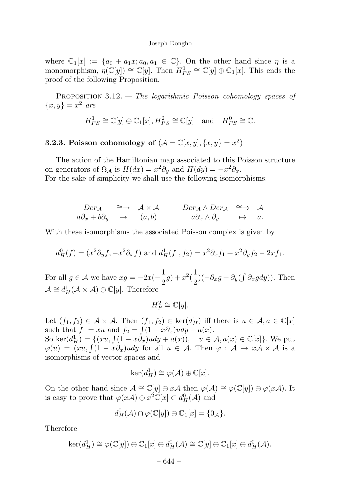where  $\mathbb{C}_1[x] := \{a_0 + a_1x; a_0, a_1 \in \mathbb{C}\}$ . On the other hand since  $\eta$  is a monomorphism,  $\eta(\mathbb{C}[y]) \cong \mathbb{C}[y]$ . Then  $H_{PS}^1 \cong \mathbb{C}[y] \oplus \mathbb{C}_1[x]$ . This ends the proof of the following Proposition.

PROPOSITION  $3.12$ . — The logarithmic Poisson cohomology spaces of  ${x, y} = x^2$  are

$$
H_{PS}^1 \cong \mathbb{C}[y] \oplus \mathbb{C}_1[x], H_{PS}^2 \cong \mathbb{C}[y] \text{ and } H_{PS}^0 \cong \mathbb{C}.
$$

**3.2.3. Poisson cohomology of**  $(A = \mathbb{C}[x, y], \{x, y\} = x^2)$ 

The action of the Hamiltonian map associated to this Poisson structure on generators of  $\Omega_A$  is  $H(dx) = x^2 \partial_y$  and  $H(dy) = -x^2 \partial_x$ . For the sake of simplicity we shall use the following isomorphisms:

$$
\begin{array}{ccc}\nDer_{\mathcal{A}} & \cong \rightarrow & \mathcal{A} \times \mathcal{A} \\
a \partial_x + b \partial_y & \mapsto & (a, b) \\
\end{array}\n\qquad\n\begin{array}{ccc}\nDer_{\mathcal{A}} \wedge Der_{\mathcal{A}} & \cong \rightarrow & \mathcal{A} \\
a \partial_x \wedge \partial_y & \mapsto & a.\n\end{array}
$$

With these isomorphisms the associated Poisson complex is given by

$$
d_H^0(f) = (x^2 \partial_y f, -x^2 \partial_x f)
$$
 and  $d_H^1(f_1, f_2) = x^2 \partial_x f_1 + x^2 \partial_y f_2 - 2x f_1$ .

For all  $g \in \mathcal{A}$  we have  $xg = -2x(-\frac{1}{2}g) + x^2(\frac{1}{2}g)$  $(\frac{1}{2})(-\partial_x g + \partial_y (\int \partial_x g dy)).$  Then  $\mathcal{A} \cong d^1_H(\mathcal{A} \times \mathcal{A}) \oplus \mathbb{C}[y]$ . Therefore

 $H_P^2 \cong \mathbb{C}[y].$ 

Let  $(f_1, f_2) \in \mathcal{A} \times \mathcal{A}$ . Then  $(f_1, f_2) \in \ker(d_H^1)$  iff there is  $u \in \mathcal{A}, a \in \mathbb{C}[x]$ such that  $f_1 = xu$  and  $f_2 = \int (1 - x \partial_x) u dy + a(x)$ . So ker $(d_H^1) = \{(xu, \int (1-x\tilde{\partial}_x)u dy + a(x)), \quad u \in \mathcal{A}, a(x) \in \mathbb{C}[x]\}.$  We put  $\varphi(u) = (xu, \int (1 - x\partial_x)u dy$  for all  $u \in \mathcal{A}$ . Then  $\varphi : \mathcal{A} \to x\mathcal{A} \times \mathcal{A}$  is a isomorphisms of vector spaces and

$$
\ker(d_H^1) \cong \varphi(\mathcal{A}) \oplus \mathbb{C}[x].
$$

On the other hand since  $\mathcal{A} \cong \mathbb{C}[y] \oplus x\mathcal{A}$  then  $\varphi(\mathcal{A}) \cong \varphi(\mathbb{C}[y]) \oplus \varphi(x\mathcal{A})$ . It is easy to prove that  $\varphi(xA) \oplus x^2 \mathbb{C}[x] \subset d^0_H(A)$  and

$$
d_H^0(\mathcal{A}) \cap \varphi(\mathbb{C}[y]) \oplus \mathbb{C}_1[x] = \{0_{\mathcal{A}}\}.
$$

Therefore

$$
\ker(d_H^1) \cong \varphi(\mathbb{C}[y]) \oplus \mathbb{C}_1[x] \oplus d_H^0(\mathcal{A}) \cong \mathbb{C}[y] \oplus \mathbb{C}_1[x] \oplus d_H^0(\mathcal{A}).
$$
  
- 644 -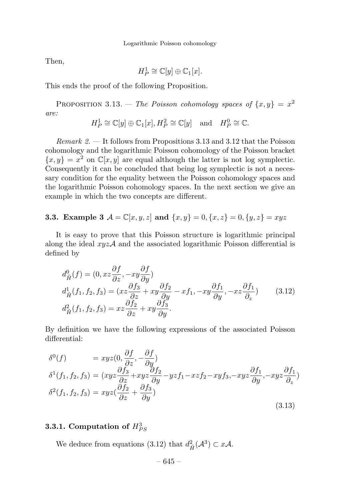Then,

$$
H_P^1 \cong \mathbb{C}[y] \oplus \mathbb{C}_1[x].
$$

This ends the proof of the following Proposition.

PROPOSITION 3.13. — The Poisson cohomology spaces of  $\{x, y\} = x^2$ are:

 $H_P^1 \cong \mathbb{C}[y] \oplus \mathbb{C}_1[x], H_P^2 \cong \mathbb{C}[y]$  and  $H_P^0 \cong \mathbb{C}$ .

Remark 2. — It follows from Propositions 3.13 and 3.12 that the Poisson cohomology and the logarithmic Poisson cohomology of the Poisson bracket  ${x, y} = x^2$  on  $\mathbb{C}[x, y]$  are equal although the latter is not log symplectic. Consequently it can be concluded that being log symplectic is not a necessary condition for the equality between the Poisson cohomology spaces and the logarithmic Poisson cohomology spaces. In the next section we give an example in which the two concepts are different.

# **3.3.** Example 3  $A = \mathbb{C}[x, y, z]$  and  $\{x, y\} = 0, \{x, z\} = 0, \{y, z\} = xyz$

It is easy to prove that this Poisson structure is logarithmic principal along the ideal  $xyz\mathcal{A}$  and the associated logarithmic Poisson differential is defined by

$$
d_{\tilde{H}}^{0}(f) = (0, xz\frac{\partial f}{\partial z}, -xy\frac{\partial f}{\partial y})
$$
  
\n
$$
d_{\tilde{H}}^{1}(f_{1}, f_{2}, f_{3}) = (xz\frac{\partial f_{3}}{\partial z} + xy\frac{\partial f_{2}}{\partial y} - xf_{1}, -xy\frac{\partial f_{1}}{\partial y}, -xz\frac{\partial f_{1}}{\partial z})
$$
\n
$$
d_{\tilde{H}}^{2}(f_{1}, f_{2}, f_{3}) = xz\frac{\partial f_{2}}{\partial z} + xy\frac{\partial f_{3}}{\partial y}.
$$
\n(3.12)

By definition we have the following expressions of the associated Poisson differential:

$$
\delta^{0}(f) = xyz(0, \frac{\partial f}{\partial z}, -\frac{\partial f}{\partial y})
$$
  
\n
$$
\delta^{1}(f_{1}, f_{2}, f_{3}) = (xyz\frac{\partial f_{3}}{\partial z} + xyz\frac{\partial f_{2}}{\partial y} - yzf_{1} - xzf_{2} - xyf_{3}, -xyz\frac{\partial f_{1}}{\partial y}, -xyz\frac{\partial f_{1}}{\partial z})
$$
  
\n
$$
\delta^{2}(f_{1}, f_{2}, f_{3}) = xyz(\frac{\partial f_{2}}{\partial z} + \frac{\partial f_{3}}{\partial y})
$$
\n(3.13)

# 3.3.1. Computation of  $H^3_{PS}$

We deduce from equations (3.12) that  $d_{\tilde{H}}^2(\mathcal{A}^3) \subset x\mathcal{A}$ .

$$
-645- \nonumber\\
$$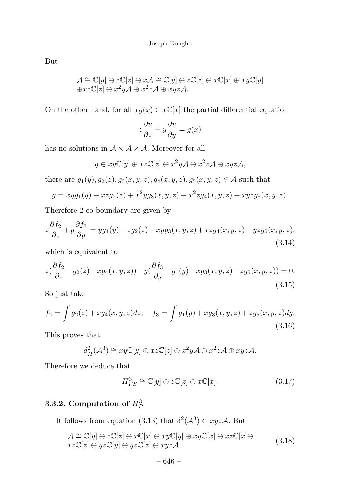But

$$
\mathcal{A} \cong \mathbb{C}[y] \oplus z\mathbb{C}[z] \oplus x\mathcal{A} \cong \mathbb{C}[y] \oplus z\mathbb{C}[z] \oplus x\mathbb{C}[x] \oplus xy\mathbb{C}[y]
$$
  

$$
\oplus xz\mathbb{C}[z] \oplus x^2y\mathcal{A} \oplus x^2z\mathcal{A} \oplus xyz\mathcal{A}.
$$

On the other hand, for all  $xg(x) \in x\mathbb{C}[x]$  the partial differential equation

$$
z\frac{\partial u}{\partial z} + y\frac{\partial v}{\partial y} = g(x)
$$

has no solutions in  $A \times A \times A$ . Moreover for all

$$
g \in xy\mathbb{C}[y] \oplus xz\mathbb{C}[z] \oplus x^2y\mathcal{A} \oplus x^2z\mathcal{A} \oplus xyz\mathcal{A},
$$

there are  $g_1(y), g_2(z), g_3(x, y, z), g_4(x, y, z), g_5(x, y, z) \in A$  such that

$$
g = xyg_1(y) + xzg_2(z) + x^2yg_3(x, y, z) + x^2zg_4(x, y, z) + xyzg_5(x, y, z).
$$

Therefore 2 co-boundary are given by

$$
z\frac{\partial f_2}{\partial z} + y\frac{\partial f_3}{\partial y} = yg_1(y) + zg_2(z) + xyzg_3(x, y, z) + xzg_4(x, y, z) + yzg_5(x, y, z),
$$
\n(3.14)

which is equivalent to

$$
z(\frac{\partial f_2}{\partial z} - g_2(z) - x g_4(x, y, z)) + y(\frac{\partial f_3}{\partial y} - g_1(y) - x g_3(x, y, z) - z g_5(x, y, z)) = 0.
$$
\n(3.15)

So just take

$$
f_2 = \int g_2(z) + x g_4(x, y, z) dz; \quad f_3 = \int g_1(y) + x g_3(x, y, z) + z g_5(x, y, z) dy.
$$
\n(3.16)

This proves that

$$
d_{\tilde{H}}^2(\mathcal{A}^3) \cong xy\mathbb{C}[y] \oplus xz\mathbb{C}[z] \oplus x^2y\mathcal{A} \oplus x^2z\mathcal{A} \oplus xyz\mathcal{A}.
$$

Therefore we deduce that

$$
H_{PS}^3 \cong \mathbb{C}[y] \oplus z\mathbb{C}[z] \oplus x\mathbb{C}[x]. \tag{3.17}
$$

# 3.3.2. Computation of  $H^3_F$

It follows from equation (3.13) that  $\delta^2(\mathcal{A}^3) \subset xyz\mathcal{A}$ . But

$$
\mathcal{A} \cong \mathbb{C}[y] \oplus z\mathbb{C}[z] \oplus x\mathbb{C}[x] \oplus xy\mathbb{C}[y] \oplus xy\mathbb{C}[x] \oplus xz\mathbb{C}[x] \oplus xz\mathbb{C}[x] \oplus xz\mathbb{C}[z] \oplus yz\mathbb{C}[y] \oplus yz\mathbb{C}[z] \oplus xyz\mathcal{A}
$$
\n(3.18)

$$
-646 -
$$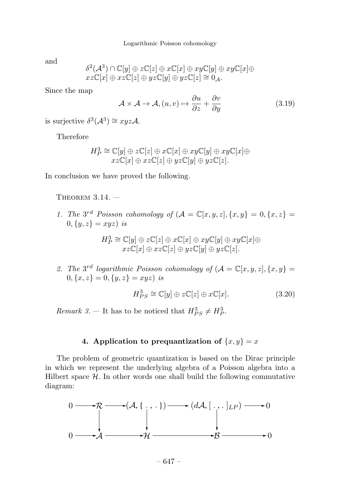Logarithmic Poisson cohomology

and

$$
\delta^2(\mathcal{A}^3) \cap \mathbb{C}[y] \oplus z\mathbb{C}[z] \oplus x\mathbb{C}[x] \oplus xy\mathbb{C}[y] \oplus xy\mathbb{C}[x] \oplus xz\mathbb{C}[x] \oplus xz\mathbb{C}[z] \oplus yz\mathbb{C}[y] \oplus yz\mathbb{C}[z] \cong 0_{\mathcal{A}}.
$$

Since the map

$$
\mathcal{A} \times \mathcal{A} \to \mathcal{A}, (u, v) \mapsto \frac{\partial u}{\partial z} + \frac{\partial v}{\partial y}
$$
(3.19)

is surjective  $\delta^3(\mathcal{A}^3) \cong xyz\mathcal{A}$ .

Therefore

$$
H_P^3 \cong \mathbb{C}[y] \oplus z\mathbb{C}[z] \oplus x\mathbb{C}[x] \oplus xy\mathbb{C}[y] \oplus xy\mathbb{C}[x] \oplus xz\mathbb{C}[x] \oplus xz\mathbb{C}[z] \oplus yz\mathbb{C}[y] \oplus yz\mathbb{C}[z].
$$

In conclusion we have proved the following.

THEOREM  $3.14.$   $-$ 

1. The 3<sup>rd</sup> Poisson cohomology of  $(A = \mathbb{C}[x, y, z], \{x, y\} = 0, \{x, z\} =$  $0, \{y, z\} = xyz$ ) is

$$
H_P^3 \cong \mathbb{C}[y] \oplus z\mathbb{C}[z] \oplus x\mathbb{C}[x] \oplus xy\mathbb{C}[y] \oplus xy\mathbb{C}[x] \oplus xz\mathbb{C}[x] \oplus xz\mathbb{C}[z] \oplus yz\mathbb{C}[y] \oplus yz\mathbb{C}[z].
$$

2. The 3<sup>rd</sup> logarithmic Poisson cohomology of  $(A = \mathbb{C}[x, y, z], \{x, y\})$  $0, \{x, z\} = 0, \{y, z\} = xyz$ ) is

$$
H_{PS}^3 \cong \mathbb{C}[y] \oplus z\mathbb{C}[z] \oplus x\mathbb{C}[x]. \tag{3.20}
$$

Remark 3. – It has to be noticed that  $H_{PS}^3 \neq H_P^3$ .

# 4. Application to prequantization of  $\{x, y\} = x$

The problem of geometric quantization is based on the Dirac principle in which we represent the underlying algebra of a Poisson algebra into a Hilbert space  $H$ . In other words one shall build the following commutative diagram:

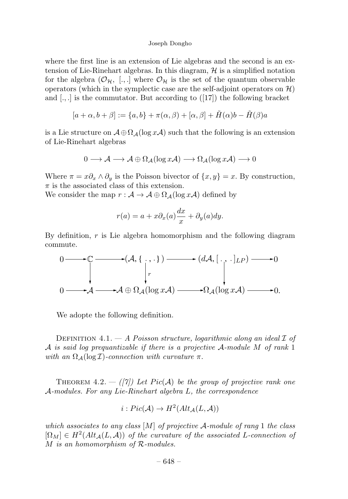where the first line is an extension of Lie algebras and the second is an extension of Lie-Rinehart algebras. In this diagram,  $\mathcal{H}$  is a simplified notation for the algebra  $(\mathcal{O}_{\mathcal{H}}, [., .])$  where  $\mathcal{O}_{\mathcal{H}}$  is the set of the quantum observable operators (which in the symplectic case are the self-adjoint operators on  $\mathcal{H}$ ) and  $[.,.]$  is the commutator. But according to  $([17])$  the following bracket

$$
[a+\alpha, b+\beta] := \{a,b\} + \pi(\alpha,\beta) + [\alpha,\beta] + \tilde{H}(\alpha)b - \tilde{H}(\beta)a
$$

is a Lie structure on  $\mathcal{A} \oplus \Omega_A(\log x \mathcal{A})$  such that the following is an extension of Lie-Rinehart algebras

$$
0 \longrightarrow \mathcal{A} \longrightarrow \mathcal{A} \oplus \Omega_{\mathcal{A}}(\log x \mathcal{A}) \longrightarrow \Omega_{\mathcal{A}}(\log x \mathcal{A}) \longrightarrow 0
$$

Where  $\pi = x \partial_x \wedge \partial_y$  is the Poisson bivector of  $\{x, y\} = x$ . By construction,  $\pi$  is the associated class of this extension.

We consider the map  $r : A \to A \oplus \Omega_A(\log x A)$  defined by

$$
r(a) = a + x \partial_x(a) \frac{dx}{x} + \partial_y(a) dy.
$$

By definition,  $r$  is Lie algebra homomorphism and the following diagram commute.

$$
0 \longrightarrow C \longrightarrow (A, \{ \cdot, \cdot \}) \longrightarrow (dA, [\cdot, \cdot]_{LP}) \longrightarrow 0
$$
  

$$
0 \longrightarrow A \longrightarrow A \oplus \Omega_{\mathcal{A}}(\log x \mathcal{A}) \longrightarrow \Omega_{\mathcal{A}}(\log x \mathcal{A}) \longrightarrow 0.
$$

We adopte the following definition.

DEFINITION 4.1. — A Poisson structure, logarithmic along an ideal  $\mathcal I$  of A is said log prequantizable if there is a projective A-module M of rank 1 with an  $\Omega_{\mathcal{A}}(\log \mathcal{I})$ -connection with curvature  $\pi$ .

THEOREM 4.2.  $-$  ([7]) Let Pic(A) be the group of projective rank one A-modules. For any Lie-Rinehart algebra L, the correspondence

$$
i:Pic(\mathcal{A}) \to H^2(Alt_{\mathcal{A}}(L, \mathcal{A}))
$$

which associates to any class  $[M]$  of projective A-module of rang 1 the class  $[\Omega_M] \in H^2(Alt_A(L, \mathcal{A}))$  of the curvature of the associated L-connection of M is an homomorphism of R-modules.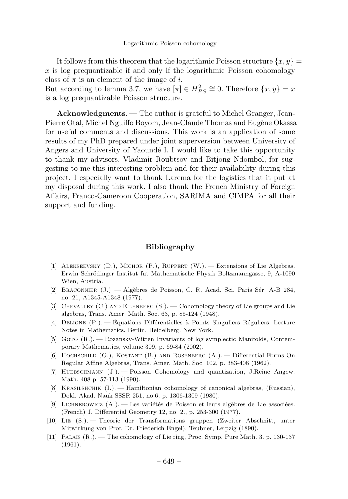It follows from this theorem that the logarithmic Poisson structure  $\{x, y\}$  $x$  is log prequantizable if and only if the logarithmic Poisson cohomology class of  $\pi$  is an element of the image of i. But according to lemma 3.7, we have  $[\pi] \in H_{PS}^2 \cong 0$ . Therefore  $\{x, y\} = x$ is a log prequantizable Poisson structure.

Acknowledgments. — The author is grateful to Michel Granger, Jean-Pierre Otal, Michel Nguiffo Boyom, Jean-Claude Thomas and Eugène Okassa for useful comments and discussions. This work is an application of some results of my PhD prepared under joint superversion between University of Angers and University of Yaoundé I. I would like to take this opportunity to thank my advisors, Vladimir Roubtsov and Bitjong Ndombol, for suggesting to me this interesting problem and for their availability during this project. I especially want to thank Larema for the logistics that it put at my disposal during this work. I also thank the French Ministry of Foreign Affairs, Franco-Cameroon Cooperation, SARIMA and CIMPA for all their support and funding.

# Bibliography

- [1] ALEKSEEVSKY (D.), MICHOR (P.), RUPPERT (W.). Extensions of Lie Algebras. Erwin Schrödinger Institut fut Mathematische Physik Boltzmanngasse, 9, A-1090 Wien, Austria.
- [2] BRACONNIER (J.). Algèbres de Poisson, C. R. Acad. Sci. Paris Sér. A-B 284, no. 21, A1345-A1348 (1977).
- [3] CHEVALLEY (C.) AND EILENBERG (S.). Cohomology theory of Lie groups and Lie algebras, Trans. Amer. Math. Soc. 63, p. 85-124 (1948).
- [4] DELIGNE (P.). Équations Différentielles à Points Singuliers Réguliers. Lecture Notes in Mathematics. Berlin. Heidelberg. New York.
- [5] GOTO  $(R.)$  Rozansky-Witten Invariants of log symplectic Manifolds, Contemporary Mathematics, volume 309, p. 69-84 (2002).
- [6] Hochschild (G.), Kostant (B.) and Rosenberg (A.). —Differential Forms On Regular Affine Algebras, Trans. Amer. Math. Soc. 102, p. 383-408 (1962).
- [7] HUEBSCHMANN (J.). Poisson Cohomology and quantization, J.Reine Angew. Math. 408 p. 57-113 (1990).
- [8] KRASILSHCHIK (I.). Hamiltonian cohomology of canonical algebras, (Russian), Dokl. Akad. Nauk SSSR 251, no.6, p. 1306-1309 (1980).
- [9] LICHNEROWICZ  $(A.)$ . Les variétés de Poisson et leurs algèbres de Lie associées. (French) J. Differential Geometry 12, no. 2., p. 253-300 (1977).
- [10] Lie (S.). —Theorie der Transformations gruppen (Zweiter Abschnitt, unter Mitwirkung von Prof. Dr. Friederich Engel). Teubner, Leipzig (1890).
- [11] Palais (R.). —The cohomology of Lie ring, Proc. Symp. Pure Math. 3. p. 130-137 (1961).